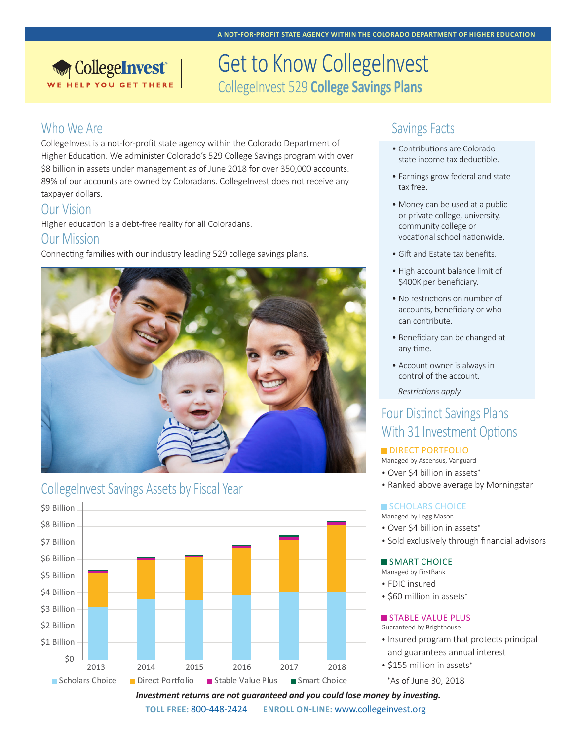# **MATCHING GRANTIC COLLEGE INVEST PROGRAM** CollegeInvest 529 **College Savings Plans**

### Who We Are

CollegeInvest®

CollegeInvest is a not-for-profit state agency within the Colorado Department of Higher Education. We administer Colorado's 529 College Savings program with over \$8 billion in assets under management as of June 2018 for over 350,000 accounts. 89% of our accounts are owned by Coloradans. CollegeInvest does not receive any taxpayer dollars. **EMPLOYER PROGRAM 529 SCHOOLARSHIPS** 

### Our Vision

Higher education is a debt-free reality for all Coloradans.

### Our Mission

Connecting families with our industry leading 529 college savings plans.



# CollegeInvest Savings Assets by Fiscal Year



## Savings Facts

- Contributions are Colorado state income tax deductible.
- Earnings grow federal and state tax free.
- Money can be used at a public or private college, university, community college or vocational school nationwide.
- Gift and Estate tax benefits.
- High account balance limit of \$400K per beneficiary.
- No restrictions on number of accounts, beneficiary or who can contribute.
- Beneficiary can be changed at any time.
- Account owner is always in control of the account.

*Restrictions apply*

# Four Distinct Savings Plans With 31 Investment Options

#### **DIRECT PORTFOLIO**

- Managed by Ascensus, Vanguard
- Over \$4 billion in assets\*
- Ranked above average by Morningstar

#### **SCHOLARS CHOICE**

Managed by Legg Mason

- Over \$4 billion in assets\*
- Sold exclusively through financial advisors

#### SMART CHOICE

Managed by FirstBank

- FDIC insured
- \$60 million in assets\*

#### STABLE VALUE PLUS

Guaranteed by Brighthouse

- Insured program that protects principal and guarantees annual interest
- \$155 million in assets\*

\*As of June 30, 2018

*Investment returns are not guaranteed and you could lose money by investing.*